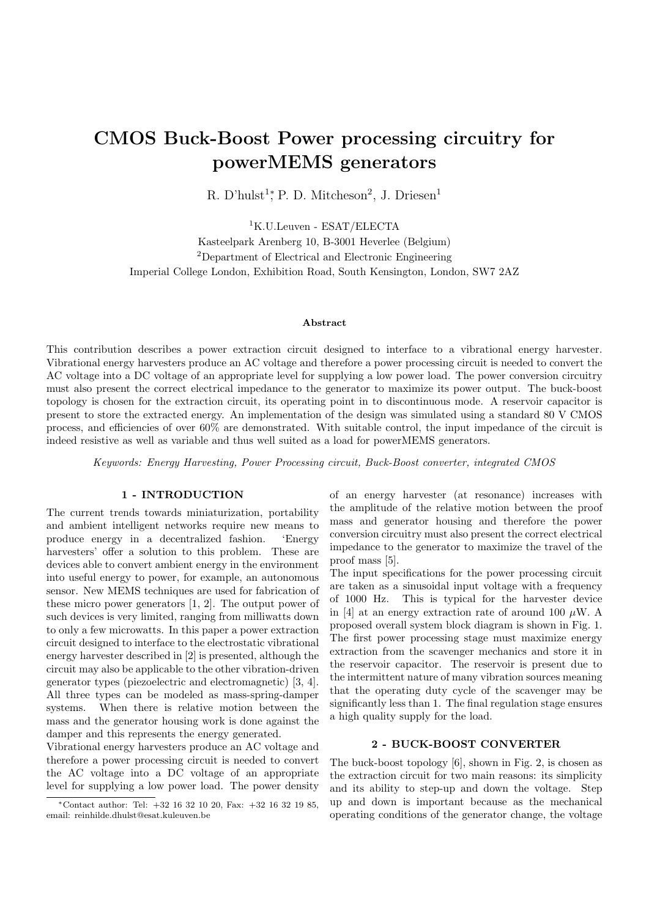# CMOS Buck-Boost Power processing circuitry for powerMEMS generators

R. D'hulst<sup>1</sup>; P. D. Mitcheson<sup>2</sup>, J. Driesen<sup>1</sup>

<sup>1</sup>K.U.Leuven - ESAT/ELECTA Kasteelpark Arenberg 10, B-3001 Heverlee (Belgium) <sup>2</sup>Department of Electrical and Electronic Engineering Imperial College London, Exhibition Road, South Kensington, London, SW7 2AZ

#### Abstract

This contribution describes a power extraction circuit designed to interface to a vibrational energy harvester. Vibrational energy harvesters produce an AC voltage and therefore a power processing circuit is needed to convert the AC voltage into a DC voltage of an appropriate level for supplying a low power load. The power conversion circuitry must also present the correct electrical impedance to the generator to maximize its power output. The buck-boost topology is chosen for the extraction circuit, its operating point in to discontinuous mode. A reservoir capacitor is present to store the extracted energy. An implementation of the design was simulated using a standard 80 V CMOS process, and efficiencies of over 60% are demonstrated. With suitable control, the input impedance of the circuit is indeed resistive as well as variable and thus well suited as a load for powerMEMS generators.

Keywords: Energy Harvesting, Power Processing circuit, Buck-Boost converter, integrated CMOS

### 1 - INTRODUCTION

The current trends towards miniaturization, portability and ambient intelligent networks require new means to produce energy in a decentralized fashion. 'Energy harvesters' offer a solution to this problem. These are devices able to convert ambient energy in the environment into useful energy to power, for example, an autonomous sensor. New MEMS techniques are used for fabrication of these micro power generators [1, 2]. The output power of such devices is very limited, ranging from milliwatts down to only a few microwatts. In this paper a power extraction circuit designed to interface to the electrostatic vibrational energy harvester described in [2] is presented, although the circuit may also be applicable to the other vibration-driven generator types (piezoelectric and electromagnetic) [3, 4]. All three types can be modeled as mass-spring-damper systems. When there is relative motion between the mass and the generator housing work is done against the damper and this represents the energy generated.

Vibrational energy harvesters produce an AC voltage and therefore a power processing circuit is needed to convert the AC voltage into a DC voltage of an appropriate level for supplying a low power load. The power density

of an energy harvester (at resonance) increases with the amplitude of the relative motion between the proof mass and generator housing and therefore the power conversion circuitry must also present the correct electrical impedance to the generator to maximize the travel of the proof mass [5].

The input specifications for the power processing circuit are taken as a sinusoidal input voltage with a frequency of 1000 Hz. This is typical for the harvester device in [4] at an energy extraction rate of around 100  $\mu$ W. A proposed overall system block diagram is shown in Fig. 1. The first power processing stage must maximize energy extraction from the scavenger mechanics and store it in the reservoir capacitor. The reservoir is present due to the intermittent nature of many vibration sources meaning that the operating duty cycle of the scavenger may be significantly less than 1. The final regulation stage ensures a high quality supply for the load.

# 2 - BUCK-BOOST CONVERTER

The buck-boost topology [6], shown in Fig. 2, is chosen as the extraction circuit for two main reasons: its simplicity and its ability to step-up and down the voltage. Step up and down is important because as the mechanical operating conditions of the generator change, the voltage

<sup>∗</sup>Contact author: Tel: +32 16 32 10 20, Fax: +32 16 32 19 85, email: reinhilde.dhulst@esat.kuleuven.be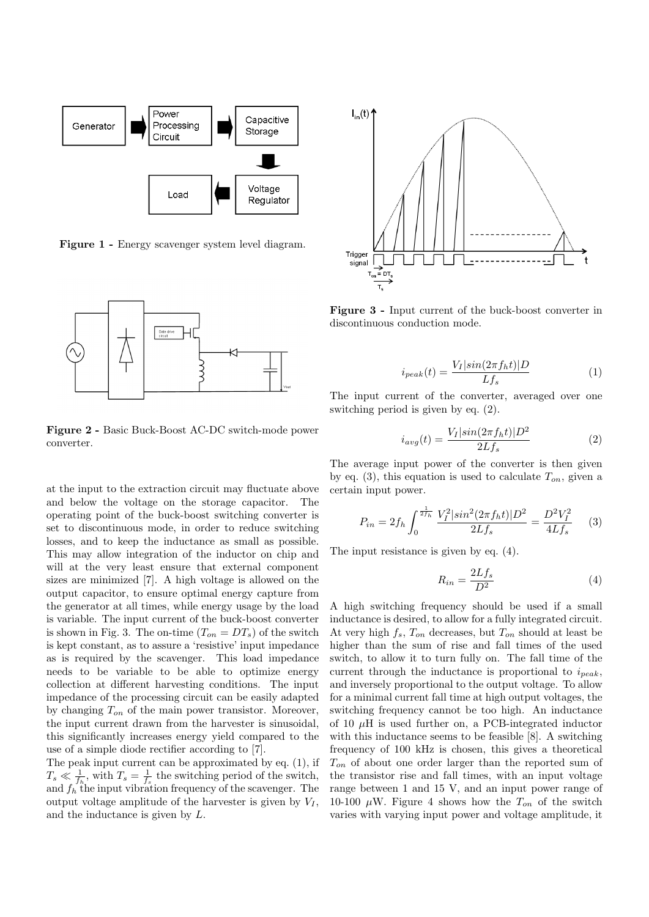

Figure 1 - Energy scavenger system level diagram.



Figure 2 - Basic Buck-Boost AC-DC switch-mode power converter.

at the input to the extraction circuit may fluctuate above and below the voltage on the storage capacitor. The operating point of the buck-boost switching converter is set to discontinuous mode, in order to reduce switching losses, and to keep the inductance as small as possible. This may allow integration of the inductor on chip and will at the very least ensure that external component sizes are minimized [7]. A high voltage is allowed on the output capacitor, to ensure optimal energy capture from the generator at all times, while energy usage by the load is variable. The input current of the buck-boost converter is shown in Fig. 3. The on-time  $(T_{on} = DT_s)$  of the switch is kept constant, as to assure a 'resistive' input impedance as is required by the scavenger. This load impedance needs to be variable to be able to optimize energy collection at different harvesting conditions. The input impedance of the processing circuit can be easily adapted by changing  $T_{on}$  of the main power transistor. Moreover, the input current drawn from the harvester is sinusoidal, this significantly increases energy yield compared to the use of a simple diode rectifier according to [7].

The peak input current can be approximated by eq. (1), if  $T_s \ll \frac{1}{f_h}$ , with  $T_s = \frac{1}{f_s}$  the switching period of the switch, and  $f_h$  the input vibration frequency of the scavenger. The output voltage amplitude of the harvester is given by  $V_I$ , and the inductance is given by L.



Figure 3 - Input current of the buck-boost converter in discontinuous conduction mode.

$$
i_{peak}(t) = \frac{V_I|sin(2\pi f_h t)|D}{Lf_s}
$$
\n(1)

The input current of the converter, averaged over one switching period is given by eq. (2).

$$
i_{avg}(t) = \frac{V_I|sin(2\pi f_h t)|D^2}{2Lf_s}
$$
\n(2)

The average input power of the converter is then given by eq. (3), this equation is used to calculate  $T_{on}$ , given a certain input power.

$$
P_{in} = 2f_h \int_0^{\frac{1}{2f_h}} \frac{V_I^2 |sin^2(2\pi f_h t)| D^2}{2Lf_s} = \frac{D^2 V_I^2}{4Lf_s} \tag{3}
$$

The input resistance is given by eq. (4).

$$
R_{in} = \frac{2Lf_s}{D^2} \tag{4}
$$

A high switching frequency should be used if a small inductance is desired, to allow for a fully integrated circuit. At very high  $f_s$ ,  $T_{on}$  decreases, but  $T_{on}$  should at least be higher than the sum of rise and fall times of the used switch, to allow it to turn fully on. The fall time of the current through the inductance is proportional to  $i_{peak}$ , and inversely proportional to the output voltage. To allow for a minimal current fall time at high output voltages, the switching frequency cannot be too high. An inductance of 10  $\mu$ H is used further on, a PCB-integrated inductor with this inductance seems to be feasible [8]. A switching frequency of 100 kHz is chosen, this gives a theoretical  $T_{on}$  of about one order larger than the reported sum of the transistor rise and fall times, with an input voltage range between 1 and 15 V, and an input power range of 10-100  $\mu$ W. Figure 4 shows how the  $T_{on}$  of the switch varies with varying input power and voltage amplitude, it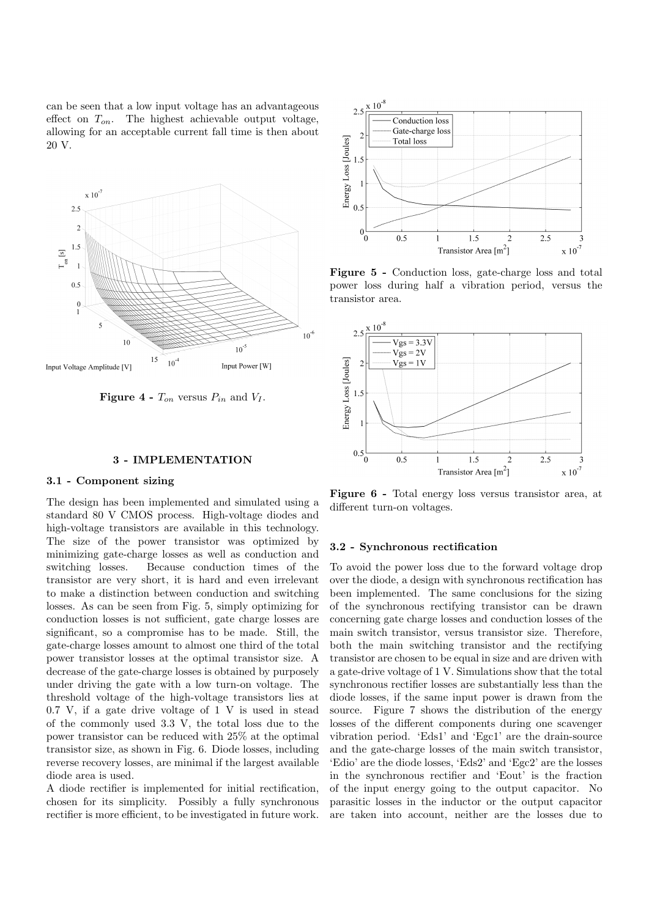can be seen that a low input voltage has an advantageous effect on  $T_{on}$ . The highest achievable output voltage, allowing for an acceptable current fall time is then about 20 V.



**Figure 4 -**  $T_{on}$  versus  $P_{in}$  and  $V_I$ .

#### 3 - IMPLEMENTATION

#### 3.1 - Component sizing

The design has been implemented and simulated using a standard 80 V CMOS process. High-voltage diodes and high-voltage transistors are available in this technology. The size of the power transistor was optimized by minimizing gate-charge losses as well as conduction and switching losses. Because conduction times of the transistor are very short, it is hard and even irrelevant to make a distinction between conduction and switching losses. As can be seen from Fig. 5, simply optimizing for conduction losses is not sufficient, gate charge losses are significant, so a compromise has to be made. Still, the gate-charge losses amount to almost one third of the total power transistor losses at the optimal transistor size. A decrease of the gate-charge losses is obtained by purposely under driving the gate with a low turn-on voltage. The threshold voltage of the high-voltage transistors lies at 0.7 V, if a gate drive voltage of 1 V is used in stead of the commonly used 3.3 V, the total loss due to the power transistor can be reduced with 25% at the optimal transistor size, as shown in Fig. 6. Diode losses, including reverse recovery losses, are minimal if the largest available diode area is used.

A diode rectifier is implemented for initial rectification, chosen for its simplicity. Possibly a fully synchronous rectifier is more efficient, to be investigated in future work.



Figure 5 - Conduction loss, gate-charge loss and total power loss during half a vibration period, versus the transistor area.



Figure 6 - Total energy loss versus transistor area, at different turn-on voltages.

#### 3.2 - Synchronous rectification

To avoid the power loss due to the forward voltage drop over the diode, a design with synchronous rectification has been implemented. The same conclusions for the sizing of the synchronous rectifying transistor can be drawn concerning gate charge losses and conduction losses of the main switch transistor, versus transistor size. Therefore, both the main switching transistor and the rectifying transistor are chosen to be equal in size and are driven with a gate-drive voltage of 1 V. Simulations show that the total synchronous rectifier losses are substantially less than the diode losses, if the same input power is drawn from the source. Figure 7 shows the distribution of the energy losses of the different components during one scavenger vibration period. 'Eds1' and 'Egc1' are the drain-source and the gate-charge losses of the main switch transistor, 'Edio' are the diode losses, 'Eds2' and 'Egc2' are the losses in the synchronous rectifier and 'Eout' is the fraction of the input energy going to the output capacitor. No parasitic losses in the inductor or the output capacitor are taken into account, neither are the losses due to